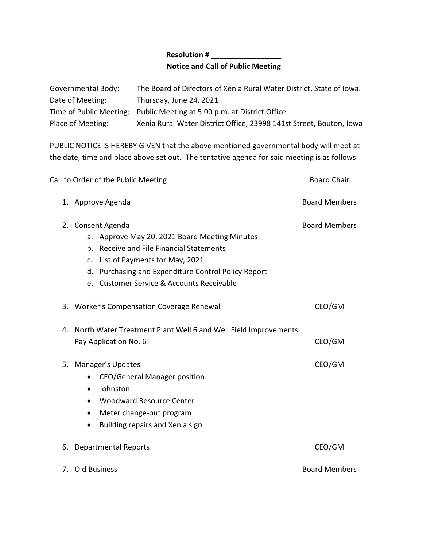## **Resolution # \_\_\_\_\_\_\_\_\_\_\_\_\_\_\_\_\_ Notice and Call of Public Meeting**

| Governmental Body: | The Board of Directors of Xenia Rural Water District, State of Iowa.   |
|--------------------|------------------------------------------------------------------------|
| Date of Meeting:   | Thursday, June 24, 2021                                                |
|                    | Time of Public Meeting: Public Meeting at 5:00 p.m. at District Office |
| Place of Meeting:  | Xenia Rural Water District Office, 23998 141st Street, Bouton, Iowa    |

PUBLIC NOTICE IS HEREBY GIVEN that the above mentioned governmental body will meet at the date, time and place above set out. The tentative agenda for said meeting is as follows:

|    | Call to Order of the Public Meeting                                                                                                                                                                                                                     | <b>Board Chair</b>   |
|----|---------------------------------------------------------------------------------------------------------------------------------------------------------------------------------------------------------------------------------------------------------|----------------------|
|    | 1. Approve Agenda                                                                                                                                                                                                                                       | <b>Board Members</b> |
|    | 2. Consent Agenda<br>a. Approve May 20, 2021 Board Meeting Minutes<br>b. Receive and File Financial Statements<br>c. List of Payments for May, 2021<br>d. Purchasing and Expenditure Control Policy Report<br>e. Customer Service & Accounts Receivable | <b>Board Members</b> |
|    | 3. Worker's Compensation Coverage Renewal                                                                                                                                                                                                               | CEO/GM               |
| 4. | North Water Treatment Plant Well 6 and Well Field Improvements<br>Pay Application No. 6                                                                                                                                                                 | CEO/GM               |
| 5. | Manager's Updates<br><b>CEO/General Manager position</b><br>$\bullet$<br>Johnston<br>$\bullet$<br><b>Woodward Resource Center</b><br>$\bullet$<br>Meter change-out program<br>$\bullet$<br>Building repairs and Xenia sign                              | CEO/GM               |
| 6. | <b>Departmental Reports</b>                                                                                                                                                                                                                             | CEO/GM               |
|    | 7. Old Business                                                                                                                                                                                                                                         | <b>Board Members</b> |